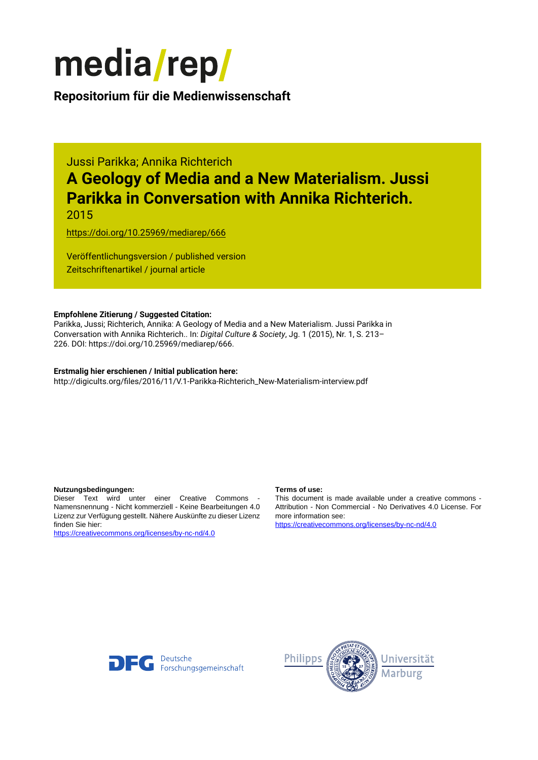

## **Repositorium für die [Medienwissenschaft](https://mediarep.org)**

Jussi Parikka; Annika Richterich

# **A Geology of Media and a New Materialism. Jussi Parikka in Conversation with Annika Richterich.**

2015

<https://doi.org/10.25969/mediarep/666>

Veröffentlichungsversion / published version Zeitschriftenartikel / journal article

#### **Empfohlene Zitierung / Suggested Citation:**

Parikka, Jussi; Richterich, Annika: A Geology of Media and a New Materialism. Jussi Parikka in Conversation with Annika Richterich.. In: *Digital Culture & Society*, Jg. 1 (2015), Nr. 1, S. 213– 226. DOI: https://doi.org/10.25969/mediarep/666.

**Erstmalig hier erschienen / Initial publication here:** http://digicults.org/files/2016/11/V.1-Parikka-Richterich\_New-Materialism-interview.pdf

#### **Nutzungsbedingungen: Terms of use:**

Dieser Text wird unter einer Creative Commons - Namensnennung - Nicht kommerziell - Keine Bearbeitungen 4.0 Lizenz zur Verfügung gestellt. Nähere Auskünfte zu dieser Lizenz finden Sie hier:

<https://creativecommons.org/licenses/by-nc-nd/4.0>

This document is made available under a creative commons - Attribution - Non Commercial - No Derivatives 4.0 License. For more information see:

<https://creativecommons.org/licenses/by-nc-nd/4.0>



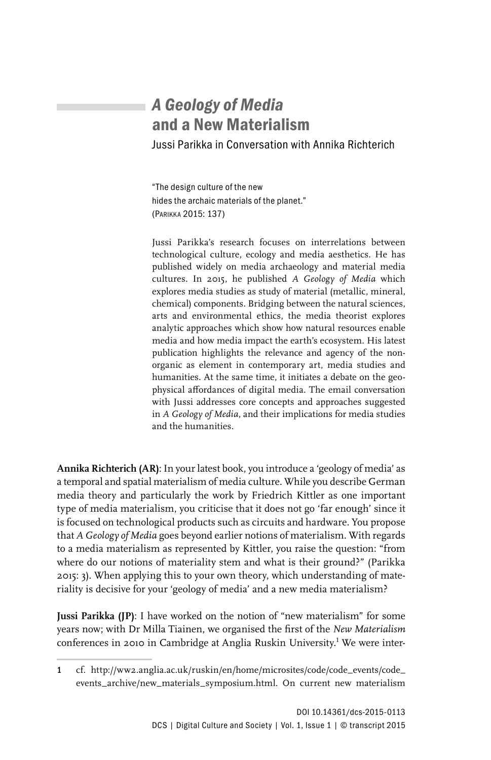## *A Geology of Media* and a New Materialism

Jussi Parikka in Conversation with Annika Richterich

"The design culture of the new hides the archaic materials of the planet." (Parikka 2015: 137)

Jussi Parikka's research focuses on interrelations between technological culture, ecology and media aesthetics. He has published widely on media archaeology and material media cultures. In 2015, he published *A Geology of Media* which explores media studies as study of material (metallic, mineral, chemical) components. Bridging between the natural sciences, arts and environmental ethics, the media theorist explores analytic approaches which show how natural resources enable media and how media impact the earth's ecosystem. His latest publication highlights the relevance and agency of the nonorganic as element in contemporary art, media studies and humanities. At the same time, it initiates a debate on the geophysical affordances of digital media. The email conversation with Jussi addresses core concepts and approaches suggested in *A Geology of Media*, and their implications for media studies and the humanities.

**Annika Richterich (AR)**: In your latest book, you introduce a 'geology of media' as a temporal and spatial materialism of media culture. While you describe German media theory and particularly the work by Friedrich Kittler as one important type of media materialism, you criticise that it does not go 'far enough' since it is focused on technological products such as circuits and hardware. You propose that *A Geology of Media* goes beyond earlier notions of materialism. With regards to a media materialism as represented by Kittler, you raise the question: "from where do our notions of materiality stem and what is their ground?" (Parikka 2015: 3). When applying this to your own theory, which understanding of materiality is decisive for your 'geology of media' and a new media materialism?

**Jussi Parikka (JP)**: I have worked on the notion of "new materialism" for some years now; with Dr Milla Tiainen, we organised the first of the *New Materialism* conferences in 2010 in Cambridge at Anglia Ruskin University.<sup>1</sup> We were inter-

<sup>1</sup> cf. http://ww2.anglia.ac.uk/ruskin/en/home/microsites/code/code\_events/code\_ events\_archive/new\_materials\_symposium.html. On current new materialism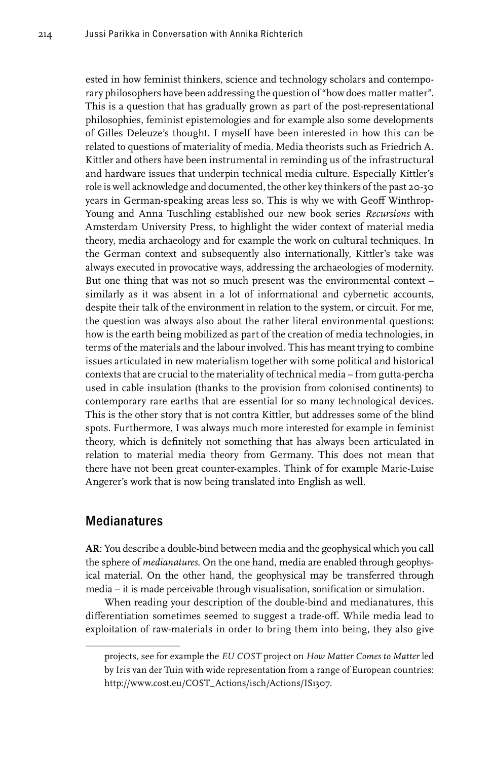ested in how feminist thinkers, science and technology scholars and contemporary philosophers have been addressing the question of "how does matter matter". This is a question that has gradually grown as part of the post-representational philosophies, feminist epistemologies and for example also some developments of Gilles Deleuze's thought. I myself have been interested in how this can be related to questions of materiality of media. Media theorists such as Friedrich A. Kittler and others have been instrumental in reminding us of the infrastructural and hardware issues that underpin technical media culture. Especially Kittler's role is well acknowledge and documented, the other key thinkers of the past 20-30 years in German-speaking areas less so. This is why we with Geoff Winthrop-Young and Anna Tuschling established our new book series *Recursions* with Amsterdam University Press, to highlight the wider context of material media theory, media archaeology and for example the work on cultural techniques. In the German context and subsequently also internationally, Kittler's take was always executed in provocative ways, addressing the archaeologies of modernity. But one thing that was not so much present was the environmental context – similarly as it was absent in a lot of informational and cybernetic accounts, despite their talk of the environment in relation to the system, or circuit. For me, the question was always also about the rather literal environmental questions: how is the earth being mobilized as part of the creation of media technologies, in terms of the materials and the labour involved. This has meant trying to combine issues articulated in new materialism together with some political and historical contexts that are crucial to the materiality of technical media – from gutta-percha used in cable insulation (thanks to the provision from colonised continents) to contemporary rare earths that are essential for so many technological devices. This is the other story that is not contra Kittler, but addresses some of the blind spots. Furthermore, I was always much more interested for example in feminist theory, which is definitely not something that has always been articulated in relation to material media theory from Germany. This does not mean that there have not been great counter-examples. Think of for example Marie-Luise Angerer's work that is now being translated into English as well.

#### Medianatures

**AR**: You describe a double-bind between media and the geophysical which you call the sphere of *medianatures*. On the one hand, media are enabled through geophysical material. On the other hand, the geophysical may be transferred through media − it is made perceivable through visualisation, sonification or simulation.

When reading your description of the double-bind and medianatures, this differentiation sometimes seemed to suggest a trade-off. While media lead to exploitation of raw-materials in order to bring them into being, they also give

projects, see for example the *EU COST* project on *How Matter Comes to Matter* led by Iris van der Tuin with wide representation from a range of European countries: http://www.cost.eu/COST\_Actions/isch/Actions/IS1307.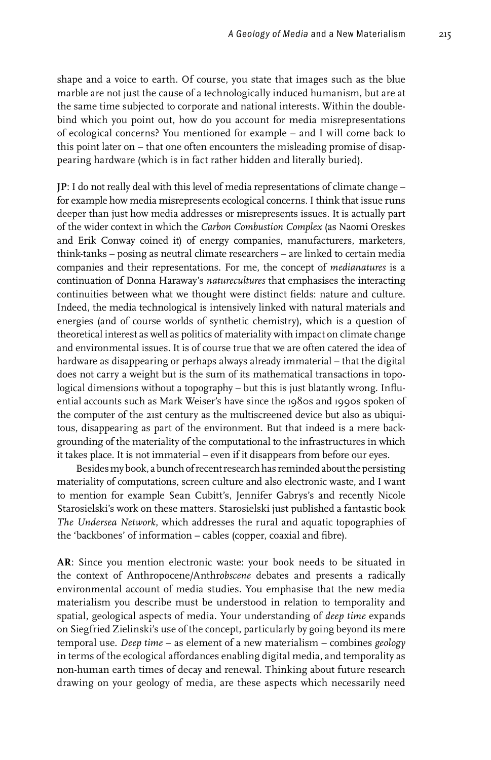shape and a voice to earth. Of course, you state that images such as the blue marble are not just the cause of a technologically induced humanism, but are at the same time subjected to corporate and national interests. Within the doublebind which you point out, how do you account for media misrepresentations of ecological concerns? You mentioned for example − and I will come back to this point later on − that one often encounters the misleading promise of disappearing hardware (which is in fact rather hidden and literally buried).

**JP**: I do not really deal with this level of media representations of climate change – for example how media misrepresents ecological concerns. I think that issue runs deeper than just how media addresses or misrepresents issues. It is actually part of the wider context in which the *Carbon Combustion Complex* (as Naomi Oreskes and Erik Conway coined it) of energy companies, manufacturers, marketers, think-tanks – posing as neutral climate researchers – are linked to certain media companies and their representations. For me, the concept of *medianatures* is a continuation of Donna Haraway's *naturecultures* that emphasises the interacting continuities between what we thought were distinct fields: nature and culture. Indeed, the media technological is intensively linked with natural materials and energies (and of course worlds of synthetic chemistry), which is a question of theoretical interest as well as politics of materiality with impact on climate change and environmental issues. It is of course true that we are often catered the idea of hardware as disappearing or perhaps always already immaterial – that the digital does not carry a weight but is the sum of its mathematical transactions in topological dimensions without a topography – but this is just blatantly wrong. Influential accounts such as Mark Weiser's have since the 1980s and 1990s spoken of the computer of the 21st century as the multiscreened device but also as ubiquitous, disappearing as part of the environment. But that indeed is a mere backgrounding of the materiality of the computational to the infrastructures in which it takes place. It is not immaterial – even if it disappears from before our eyes.

Besides my book, a bunch of recent research has reminded about the persisting materiality of computations, screen culture and also electronic waste, and I want to mention for example Sean Cubitt's, Jennifer Gabrys's and recently Nicole Starosielski's work on these matters. Starosielski just published a fantastic book *The Undersea Network*, which addresses the rural and aquatic topographies of the 'backbones' of information – cables (copper, coaxial and fibre).

**AR**: Since you mention electronic waste: your book needs to be situated in the context of Anthropocene/Anthr*obscene* debates and presents a radically environmental account of media studies. You emphasise that the new media materialism you describe must be understood in relation to temporality and spatial, geological aspects of media. Your understanding of *deep time* expands on Siegfried Zielinski's use of the concept, particularly by going beyond its mere temporal use. *Deep time* − as element of a new materialism − combines *geology* in terms of the ecological affordances enabling digital media, and temporality as non-human earth times of decay and renewal. Thinking about future research drawing on your geology of media, are these aspects which necessarily need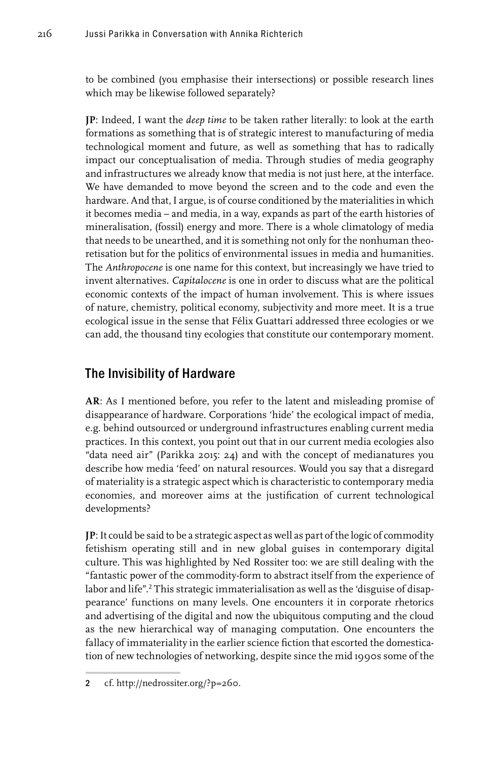to be combined (you emphasise their intersections) or possible research lines which may be likewise followed separately?

**JP**: Indeed, I want the *deep time* to be taken rather literally: to look at the earth formations as something that is of strategic interest to manufacturing of media technological moment and future, as well as something that has to radically impact our conceptualisation of media. Through studies of media geography and infrastructures we already know that media is not just here, at the interface. We have demanded to move beyond the screen and to the code and even the hardware. And that, I argue, is of course conditioned by the materialities in which it becomes media – and media, in a way, expands as part of the earth histories of mineralisation, (fossil) energy and more. There is a whole climatology of media that needs to be unearthed, and it is something not only for the nonhuman theoretisation but for the politics of environmental issues in media and humanities. The *Anthropocene* is one name for this context, but increasingly we have tried to invent alternatives. *Capitalocene* is one in order to discuss what are the political economic contexts of the impact of human involvement. This is where issues of nature, chemistry, political economy, subjectivity and more meet. It is a true ecological issue in the sense that Félix Guattari addressed three ecologies or we can add, the thousand tiny ecologies that constitute our contemporary moment.

### The Invisibility of Hardware

**AR**: As I mentioned before, you refer to the latent and misleading promise of disappearance of hardware. Corporations 'hide' the ecological impact of media, e.g. behind outsourced or underground infrastructures enabling current media practices. In this context, you point out that in our current media ecologies also "data need air" (Parikka 2015: 24) and with the concept of medianatures you describe how media 'feed' on natural resources. Would you say that a disregard of materiality is a strategic aspect which is characteristic to contemporary media economies, and moreover aims at the justification of current technological developments?

**JP**: It could be said to be a strategic aspect as well as part of the logic of commodity fetishism operating still and in new global guises in contemporary digital culture. This was highlighted by Ned Rossiter too: we are still dealing with the "fantastic power of the commodity-form to abstract itself from the experience of labor and life".<sup>2</sup> This strategic immaterialisation as well as the 'disguise of disappearance' functions on many levels. One encounters it in corporate rhetorics and advertising of the digital and now the ubiquitous computing and the cloud as the new hierarchical way of managing computation. One encounters the fallacy of immateriality in the earlier science fiction that escorted the domestication of new technologies of networking, despite since the mid 1990s some of the

<sup>2</sup> cf. http://nedrossiter.org/?p=260.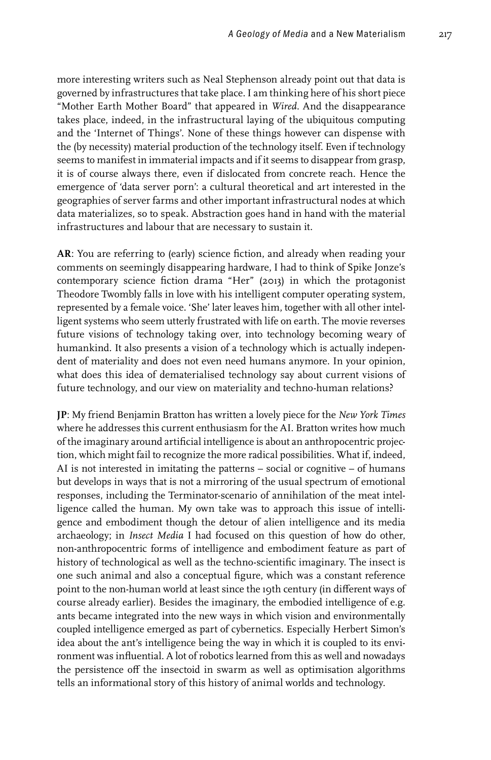more interesting writers such as Neal Stephenson already point out that data is governed by infrastructures that take place. I am thinking here of his short piece "Mother Earth Mother Board" that appeared in *Wired*. And the disappearance takes place, indeed, in the infrastructural laying of the ubiquitous computing and the 'Internet of Things'. None of these things however can dispense with the (by necessity) material production of the technology itself. Even if technology seems to manifest in immaterial impacts and if it seems to disappear from grasp, it is of course always there, even if dislocated from concrete reach. Hence the emergence of 'data server porn': a cultural theoretical and art interested in the geographies of server farms and other important infrastructural nodes at which data materializes, so to speak. Abstraction goes hand in hand with the material infrastructures and labour that are necessary to sustain it.

**AR**: You are referring to (early) science fiction, and already when reading your comments on seemingly disappearing hardware, I had to think of Spike Jonze's contemporary science fiction drama "Her" (2013) in which the protagonist Theodore Twombly falls in love with his intelligent computer operating system, represented by a female voice. 'She' later leaves him, together with all other intelligent systems who seem utterly frustrated with life on earth. The movie reverses future visions of technology taking over, into technology becoming weary of humankind. It also presents a vision of a technology which is actually independent of materiality and does not even need humans anymore. In your opinion, what does this idea of dematerialised technology say about current visions of future technology, and our view on materiality and techno-human relations?

**JP**: My friend Benjamin Bratton has written a lovely piece for the *New York Times* where he addresses this current enthusiasm for the AI. Bratton writes how much of the imaginary around artificial intelligence is about an anthropocentric projection, which might fail to recognize the more radical possibilities. What if, indeed, AI is not interested in imitating the patterns – social or cognitive – of humans but develops in ways that is not a mirroring of the usual spectrum of emotional responses, including the Terminator-scenario of annihilation of the meat intelligence called the human. My own take was to approach this issue of intelligence and embodiment though the detour of alien intelligence and its media archaeology; in *Insect Media* I had focused on this question of how do other, non-anthropocentric forms of intelligence and embodiment feature as part of history of technological as well as the techno-scientific imaginary. The insect is one such animal and also a conceptual figure, which was a constant reference point to the non-human world at least since the 19th century (in different ways of course already earlier). Besides the imaginary, the embodied intelligence of e.g. ants became integrated into the new ways in which vision and environmentally coupled intelligence emerged as part of cybernetics. Especially Herbert Simon's idea about the ant's intelligence being the way in which it is coupled to its environment was influential. A lot of robotics learned from this as well and nowadays the persistence off the insectoid in swarm as well as optimisation algorithms tells an informational story of this history of animal worlds and technology.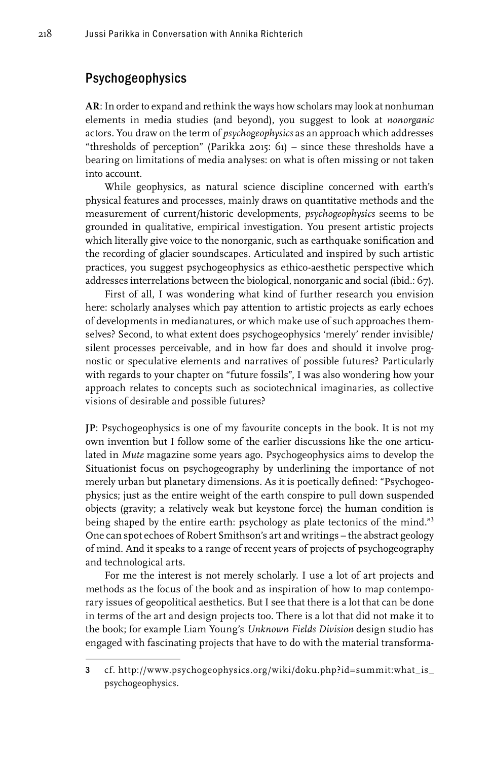#### Psychogeophysics

**AR**: In order to expand and rethink the ways how scholars may look at nonhuman elements in media studies (and beyond), you suggest to look at *nonorganic* actors. You draw on the term of *psychogeophysics* as an approach which addresses "thresholds of perception" (Parikka 2015: 61) − since these thresholds have a bearing on limitations of media analyses: on what is often missing or not taken into account.

While geophysics, as natural science discipline concerned with earth's physical features and processes, mainly draws on quantitative methods and the measurement of current/historic developments, *psychogeophysics* seems to be grounded in qualitative, empirical investigation. You present artistic projects which literally give voice to the nonorganic, such as earthquake sonification and the recording of glacier soundscapes. Articulated and inspired by such artistic practices, you suggest psychogeophysics as ethico-aesthetic perspective which addresses interrelations between the biological, nonorganic and social (ibid.: 67).

First of all, I was wondering what kind of further research you envision here: scholarly analyses which pay attention to artistic projects as early echoes of developments in medianatures, or which make use of such approaches themselves? Second, to what extent does psychogeophysics 'merely' render invisible/ silent processes perceivable, and in how far does and should it involve prognostic or speculative elements and narratives of possible futures? Particularly with regards to your chapter on "future fossils", I was also wondering how your approach relates to concepts such as sociotechnical imaginaries, as collective visions of desirable and possible futures?

**JP**: Psychogeophysics is one of my favourite concepts in the book. It is not my own invention but I follow some of the earlier discussions like the one articulated in *Mute* magazine some years ago. Psychogeophysics aims to develop the Situationist focus on psychogeography by underlining the importance of not merely urban but planetary dimensions. As it is poetically defined: "Psychogeophysics; just as the entire weight of the earth conspire to pull down suspended objects (gravity; a relatively weak but keystone force) the human condition is being shaped by the entire earth: psychology as plate tectonics of the mind."<sup>3</sup> One can spot echoes of Robert Smithson's art and writings – the abstract geology of mind. And it speaks to a range of recent years of projects of psychogeography and technological arts.

For me the interest is not merely scholarly. I use a lot of art projects and methods as the focus of the book and as inspiration of how to map contemporary issues of geopolitical aesthetics. But I see that there is a lot that can be done in terms of the art and design projects too. There is a lot that did not make it to the book; for example Liam Young's *Unknown Fields Division* design studio has engaged with fascinating projects that have to do with the material transforma-

<sup>3</sup> cf. http://www.psychogeophysics.org/wiki/doku.php?id=summit:what\_is\_ psychogeophysics.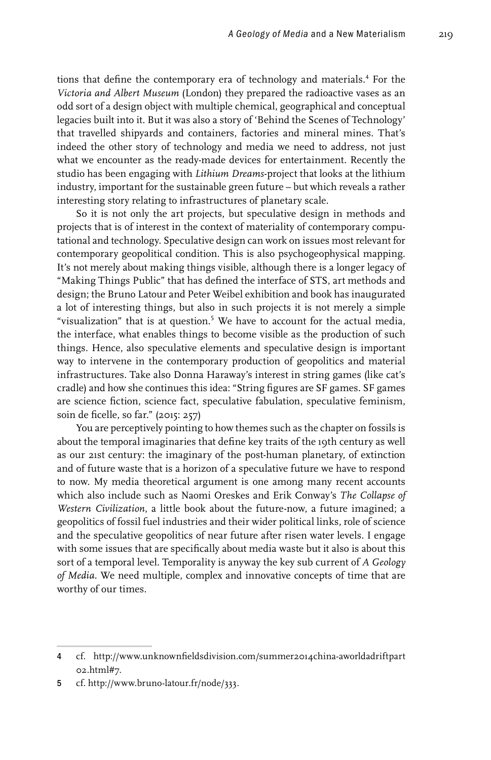tions that define the contemporary era of technology and materials.4 For the *Victoria and Albert Museum* (London) they prepared the radioactive vases as an odd sort of a design object with multiple chemical, geographical and conceptual legacies built into it. But it was also a story of 'Behind the Scenes of Technology' that travelled shipyards and containers, factories and mineral mines. That's indeed the other story of technology and media we need to address, not just what we encounter as the ready-made devices for entertainment. Recently the studio has been engaging with *Lithium Dreams*-project that looks at the lithium industry, important for the sustainable green future – but which reveals a rather interesting story relating to infrastructures of planetary scale.

So it is not only the art projects, but speculative design in methods and projects that is of interest in the context of materiality of contemporary computational and technology. Speculative design can work on issues most relevant for contemporary geopolitical condition. This is also psychogeophysical mapping. It's not merely about making things visible, although there is a longer legacy of "Making Things Public" that has defined the interface of STS, art methods and design; the Bruno Latour and Peter Weibel exhibition and book has inaugurated a lot of interesting things, but also in such projects it is not merely a simple "visualization" that is at question.<sup>5</sup> We have to account for the actual media, the interface, what enables things to become visible as the production of such things. Hence, also speculative elements and speculative design is important way to intervene in the contemporary production of geopolitics and material infrastructures. Take also Donna Haraway's interest in string games (like cat's cradle) and how she continues this idea: "String figures are SF games. SF games are science fiction, science fact, speculative fabulation, speculative feminism, soin de ficelle, so far." (2015: 257)

You are perceptively pointing to how themes such as the chapter on fossils is about the temporal imaginaries that define key traits of the 19th century as well as our 21st century: the imaginary of the post-human planetary, of extinction and of future waste that is a horizon of a speculative future we have to respond to now. My media theoretical argument is one among many recent accounts which also include such as Naomi Oreskes and Erik Conway's *The Collapse of Western Civilization*, a little book about the future-now, a future imagined; a geopolitics of fossil fuel industries and their wider political links, role of science and the speculative geopolitics of near future after risen water levels. I engage with some issues that are specifically about media waste but it also is about this sort of a temporal level. Temporality is anyway the key sub current of *A Geology of Media*. We need multiple, complex and innovative concepts of time that are worthy of our times.

<sup>4</sup> cf. http://www.unknownfieldsdivision.com/summer2014china-aworldadriftpart 02.html#7.

<sup>5</sup> cf. http://www.bruno-latour.fr/node/333.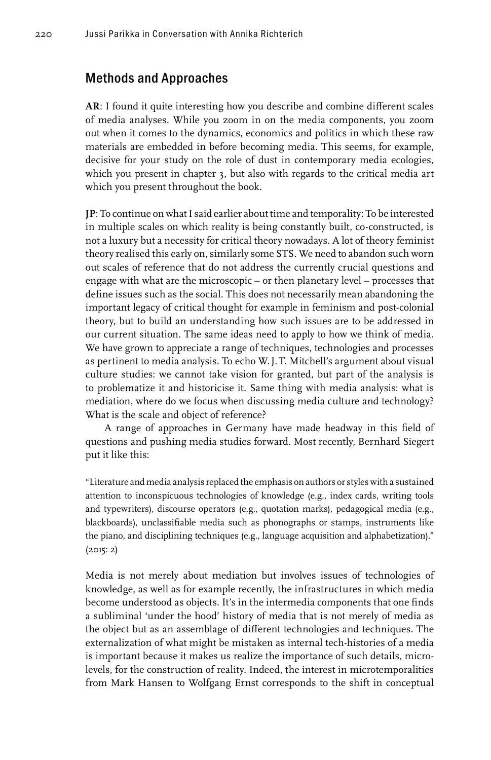#### Methods and Approaches

**AR**: I found it quite interesting how you describe and combine different scales of media analyses. While you zoom in on the media components, you zoom out when it comes to the dynamics, economics and politics in which these raw materials are embedded in before becoming media. This seems, for example, decisive for your study on the role of dust in contemporary media ecologies, which you present in chapter 3, but also with regards to the critical media art which you present throughout the book.

**JP**: To continue on what I said earlier about time and temporality: To be interested in multiple scales on which reality is being constantly built, co-constructed, is not a luxury but a necessity for critical theory nowadays. A lot of theory feminist theory realised this early on, similarly some STS. We need to abandon such worn out scales of reference that do not address the currently crucial questions and engage with what are the microscopic – or then planetary level – processes that define issues such as the social. This does not necessarily mean abandoning the important legacy of critical thought for example in feminism and post-colonial theory, but to build an understanding how such issues are to be addressed in our current situation. The same ideas need to apply to how we think of media. We have grown to appreciate a range of techniques, technologies and processes as pertinent to media analysis. To echo W.J.T. Mitchell's argument about visual culture studies: we cannot take vision for granted, but part of the analysis is to problematize it and historicise it. Same thing with media analysis: what is mediation, where do we focus when discussing media culture and technology? What is the scale and object of reference?

A range of approaches in Germany have made headway in this field of questions and pushing media studies forward. Most recently, Bernhard Siegert put it like this:

"Literature and media analysis replaced the emphasis on authors or styles with a sustained attention to inconspicuous technologies of knowledge (e.g., index cards, writing tools and typewriters), discourse operators (e.g., quotation marks), pedagogical media (e.g., blackboards), unclassifiable media such as phonographs or stamps, instruments like the piano, and disciplining techniques (e.g., language acquisition and alphabetization)." (2015: 2)

Media is not merely about mediation but involves issues of technologies of knowledge, as well as for example recently, the infrastructures in which media become understood as objects. It's in the intermedia components that one finds a subliminal 'under the hood' history of media that is not merely of media as the object but as an assemblage of different technologies and techniques. The externalization of what might be mistaken as internal tech-histories of a media is important because it makes us realize the importance of such details, microlevels, for the construction of reality. Indeed, the interest in microtemporalities from Mark Hansen to Wolfgang Ernst corresponds to the shift in conceptual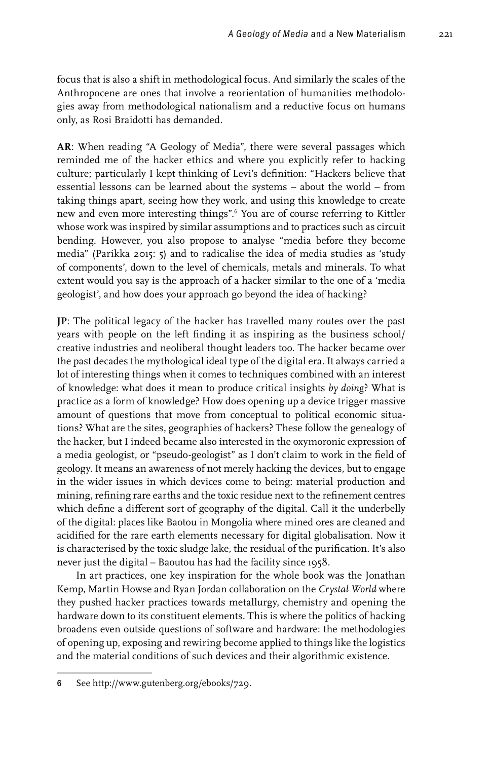focus that is also a shift in methodological focus. And similarly the scales of the Anthropocene are ones that involve a reorientation of humanities methodologies away from methodological nationalism and a reductive focus on humans only, as Rosi Braidotti has demanded.

**AR**: When reading "A Geology of Media", there were several passages which reminded me of the hacker ethics and where you explicitly refer to hacking culture; particularly I kept thinking of Levi's definition: "Hackers believe that essential lessons can be learned about the systems – about the world – from taking things apart, seeing how they work, and using this knowledge to create new and even more interesting things".6 You are of course referring to Kittler whose work was inspired by similar assumptions and to practices such as circuit bending. However, you also propose to analyse "media before they become media" (Parikka 2015: 5) and to radicalise the idea of media studies as 'study of components', down to the level of chemicals, metals and minerals. To what extent would you say is the approach of a hacker similar to the one of a 'media geologist', and how does your approach go beyond the idea of hacking?

**JP**: The political legacy of the hacker has travelled many routes over the past years with people on the left finding it as inspiring as the business school/ creative industries and neoliberal thought leaders too. The hacker became over the past decades the mythological ideal type of the digital era. It always carried a lot of interesting things when it comes to techniques combined with an interest of knowledge: what does it mean to produce critical insights *by doing*? What is practice as a form of knowledge? How does opening up a device trigger massive amount of questions that move from conceptual to political economic situations? What are the sites, geographies of hackers? These follow the genealogy of the hacker, but I indeed became also interested in the oxymoronic expression of a media geologist, or "pseudo-geologist" as I don't claim to work in the field of geology. It means an awareness of not merely hacking the devices, but to engage in the wider issues in which devices come to being: material production and mining, refining rare earths and the toxic residue next to the refinement centres which define a different sort of geography of the digital. Call it the underbelly of the digital: places like Baotou in Mongolia where mined ores are cleaned and acidified for the rare earth elements necessary for digital globalisation. Now it is characterised by the toxic sludge lake, the residual of the purification. It's also never just the digital – Baoutou has had the facility since 1958.

In art practices, one key inspiration for the whole book was the Jonathan Kemp, Martin Howse and Ryan Jordan collaboration on the *Crystal World* where they pushed hacker practices towards metallurgy, chemistry and opening the hardware down to its constituent elements. This is where the politics of hacking broadens even outside questions of software and hardware: the methodologies of opening up, exposing and rewiring become applied to things like the logistics and the material conditions of such devices and their algorithmic existence.

<sup>6</sup> See http://www.gutenberg.org/ebooks/729.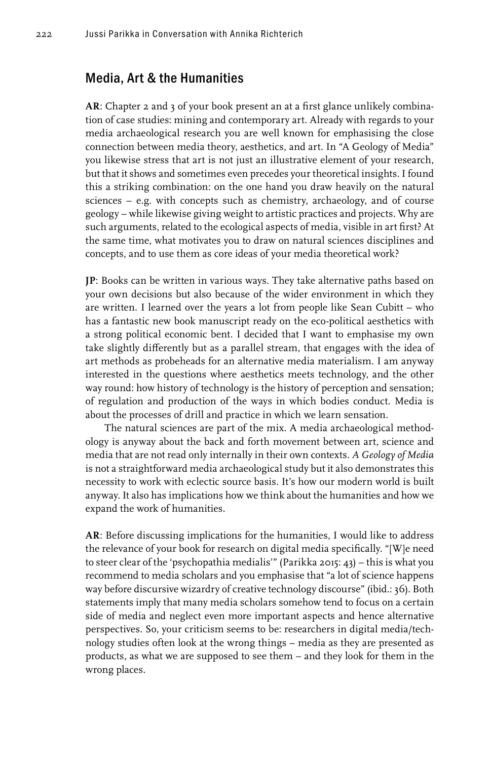#### Media, Art & the Humanities

AR: Chapter 2 and 3 of your book present an at a first glance unlikely combination of case studies: mining and contemporary art. Already with regards to your media archaeological research you are well known for emphasising the close connection between media theory, aesthetics, and art. In "A Geology of Media" you likewise stress that art is not just an illustrative element of your research, but that it shows and sometimes even precedes your theoretical insights. I found this a striking combination: on the one hand you draw heavily on the natural sciences – e.g. with concepts such as chemistry, archaeology, and of course geology − while likewise giving weight to artistic practices and projects. Why are such arguments, related to the ecological aspects of media, visible in art first? At the same time, what motivates you to draw on natural sciences disciplines and concepts, and to use them as core ideas of your media theoretical work?

**JP**: Books can be written in various ways. They take alternative paths based on your own decisions but also because of the wider environment in which they are written. I learned over the years a lot from people like Sean Cubitt – who has a fantastic new book manuscript ready on the eco-political aesthetics with a strong political economic bent. I decided that I want to emphasise my own take slightly differently but as a parallel stream, that engages with the idea of art methods as probeheads for an alternative media materialism. I am anyway interested in the questions where aesthetics meets technology, and the other way round: how history of technology is the history of perception and sensation; of regulation and production of the ways in which bodies conduct. Media is about the processes of drill and practice in which we learn sensation.

The natural sciences are part of the mix. A media archaeological methodology is anyway about the back and forth movement between art, science and media that are not read only internally in their own contexts. *A Geology of Media* is not a straightforward media archaeological study but it also demonstrates this necessity to work with eclectic source basis. It's how our modern world is built anyway. It also has implications how we think about the humanities and how we expand the work of humanities.

**AR**: Before discussing implications for the humanities, I would like to address the relevance of your book for research on digital media specifically. "[W]e need to steer clear of the 'psychopathia medialis'" (Parikka 2015: 43) − this is what you recommend to media scholars and you emphasise that "a lot of science happens way before discursive wizardry of creative technology discourse" (ibid.: 36). Both statements imply that many media scholars somehow tend to focus on a certain side of media and neglect even more important aspects and hence alternative perspectives. So, your criticism seems to be: researchers in digital media/technology studies often look at the wrong things – media as they are presented as products, as what we are supposed to see them − and they look for them in the wrong places.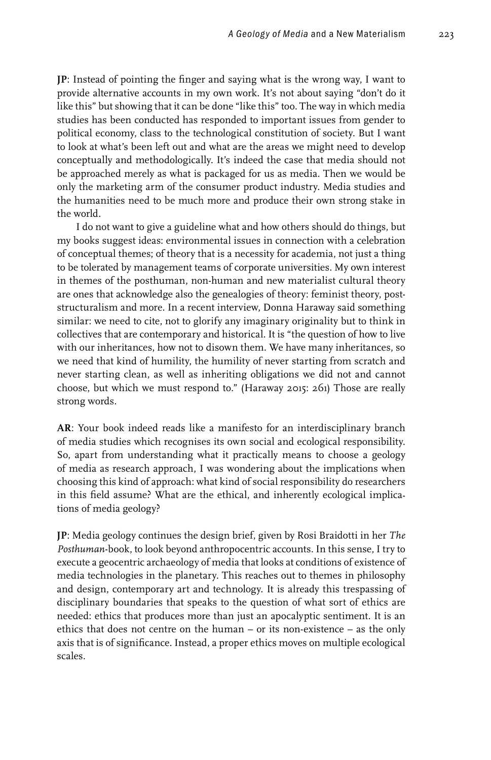**JP**: Instead of pointing the finger and saying what is the wrong way, I want to provide alternative accounts in my own work. It's not about saying "don't do it like this" but showing that it can be done "like this" too. The way in which media studies has been conducted has responded to important issues from gender to political economy, class to the technological constitution of society. But I want to look at what's been left out and what are the areas we might need to develop conceptually and methodologically. It's indeed the case that media should not be approached merely as what is packaged for us as media. Then we would be only the marketing arm of the consumer product industry. Media studies and the humanities need to be much more and produce their own strong stake in the world.

I do not want to give a guideline what and how others should do things, but my books suggest ideas: environmental issues in connection with a celebration of conceptual themes; of theory that is a necessity for academia, not just a thing to be tolerated by management teams of corporate universities. My own interest in themes of the posthuman, non-human and new materialist cultural theory are ones that acknowledge also the genealogies of theory: feminist theory, poststructuralism and more. In a recent interview, Donna Haraway said something similar: we need to cite, not to glorify any imaginary originality but to think in collectives that are contemporary and historical. It is "the question of how to live with our inheritances, how not to disown them. We have many inheritances, so we need that kind of humility, the humility of never starting from scratch and never starting clean, as well as inheriting obligations we did not and cannot choose, but which we must respond to." (Haraway 2015: 261) Those are really strong words.

**AR**: Your book indeed reads like a manifesto for an interdisciplinary branch of media studies which recognises its own social and ecological responsibility. So, apart from understanding what it practically means to choose a geology of media as research approach, I was wondering about the implications when choosing this kind of approach: what kind of social responsibility do researchers in this field assume? What are the ethical, and inherently ecological implications of media geology?

**JP**: Media geology continues the design brief, given by Rosi Braidotti in her *The Posthuman*-book, to look beyond anthropocentric accounts. In this sense, I try to execute a geocentric archaeology of media that looks at conditions of existence of media technologies in the planetary. This reaches out to themes in philosophy and design, contemporary art and technology. It is already this trespassing of disciplinary boundaries that speaks to the question of what sort of ethics are needed: ethics that produces more than just an apocalyptic sentiment. It is an ethics that does not centre on the human – or its non-existence – as the only axis that is of significance. Instead, a proper ethics moves on multiple ecological scales.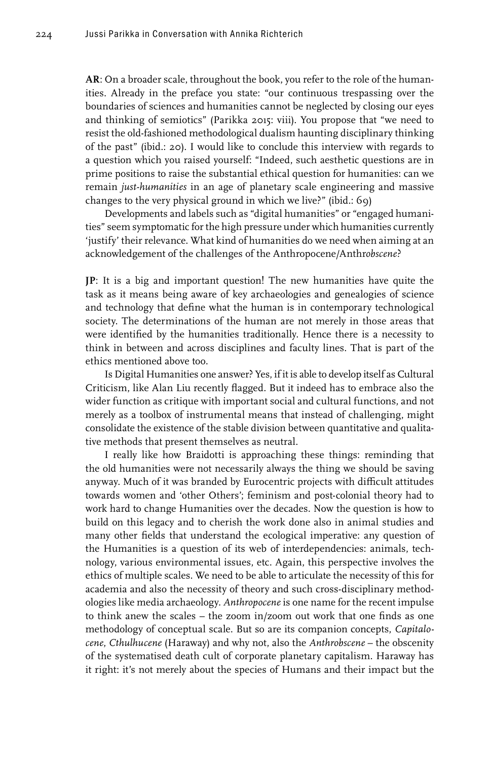**AR**: On a broader scale, throughout the book, you refer to the role of the humanities. Already in the preface you state: "our continuous trespassing over the boundaries of sciences and humanities cannot be neglected by closing our eyes and thinking of semiotics" (Parikka 2015: viii). You propose that "we need to resist the old-fashioned methodological dualism haunting disciplinary thinking of the past" (ibid.: 20). I would like to conclude this interview with regards to a question which you raised yourself: "Indeed, such aesthetic questions are in prime positions to raise the substantial ethical question for humanities: can we remain *just-humanities* in an age of planetary scale engineering and massive changes to the very physical ground in which we live?" (ibid.: 69)

Developments and labels such as "digital humanities" or "engaged humanities" seem symptomatic for the high pressure under which humanities currently 'justify' their relevance. What kind of humanities do we need when aiming at an acknowledgement of the challenges of the Anthropocene/Anthr*obscene*?

**JP**: It is a big and important question! The new humanities have quite the task as it means being aware of key archaeologies and genealogies of science and technology that define what the human is in contemporary technological society. The determinations of the human are not merely in those areas that were identified by the humanities traditionally. Hence there is a necessity to think in between and across disciplines and faculty lines. That is part of the ethics mentioned above too.

Is Digital Humanities one answer? Yes, if it is able to develop itself as Cultural Criticism, like Alan Liu recently flagged. But it indeed has to embrace also the wider function as critique with important social and cultural functions, and not merely as a toolbox of instrumental means that instead of challenging, might consolidate the existence of the stable division between quantitative and qualitative methods that present themselves as neutral.

I really like how Braidotti is approaching these things: reminding that the old humanities were not necessarily always the thing we should be saving anyway. Much of it was branded by Eurocentric projects with difficult attitudes towards women and 'other Others'; feminism and post-colonial theory had to work hard to change Humanities over the decades. Now the question is how to build on this legacy and to cherish the work done also in animal studies and many other fields that understand the ecological imperative: any question of the Humanities is a question of its web of interdependencies: animals, technology, various environmental issues, etc. Again, this perspective involves the ethics of multiple scales. We need to be able to articulate the necessity of this for academia and also the necessity of theory and such cross-disciplinary methodologies like media archaeology. *Anthropocene* is one name for the recent impulse to think anew the scales – the zoom in/zoom out work that one finds as one methodology of conceptual scale. But so are its companion concepts, *Capitalocene*, *Cthulhucene* (Haraway) and why not, also the *Anthrobscene* – the obscenity of the systematised death cult of corporate planetary capitalism. Haraway has it right: it's not merely about the species of Humans and their impact but the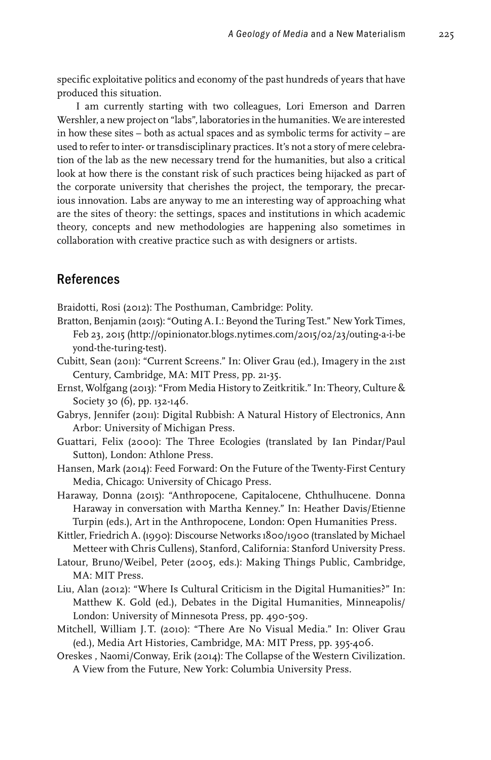specific exploitative politics and economy of the past hundreds of years that have produced this situation.

I am currently starting with two colleagues, Lori Emerson and Darren Wershler, a new project on "labs", laboratories in the humanities. We are interested in how these sites – both as actual spaces and as symbolic terms for activity – are used to refer to inter- or transdisciplinary practices. It's not a story of mere celebration of the lab as the new necessary trend for the humanities, but also a critical look at how there is the constant risk of such practices being hijacked as part of the corporate university that cherishes the project, the temporary, the precarious innovation. Labs are anyway to me an interesting way of approaching what are the sites of theory: the settings, spaces and institutions in which academic theory, concepts and new methodologies are happening also sometimes in collaboration with creative practice such as with designers or artists.

#### References

Braidotti, Rosi (2012): The Posthuman, Cambridge: Polity.

- Bratton, Benjamin (2015): "Outing A.I.: Beyond the Turing Test." New York Times, Feb 23, 2015 (http://opinionator.blogs.nytimes.com/2015/02/23/outing-a-i-be yond-the-turing-test).
- Cubitt, Sean (2011): "Current Screens." In: Oliver Grau (ed.), Imagery in the 21st Century, Cambridge, MA: MIT Press, pp. 21-35.
- Ernst, Wolfgang (2013): "From Media History to Zeitkritik." In: Theory, Culture & Society 30 (6), pp. 132-146.
- Gabrys, Jennifer (2011): Digital Rubbish: A Natural History of Electronics, Ann Arbor: University of Michigan Press.
- Guattari, Felix (2000): The Three Ecologies (translated by Ian Pindar/Paul Sutton), London: Athlone Press.
- Hansen, Mark (2014): Feed Forward: On the Future of the Twenty-First Century Media, Chicago: University of Chicago Press.
- Haraway, Donna (2015): "Anthropocene, Capitalocene, Chthulhucene. Donna Haraway in conversation with Martha Kenney." In: Heather Davis/Etienne Turpin (eds.), Art in the Anthropocene, London: Open Humanities Press.
- Kittler, Friedrich A. (1990): Discourse Networks 1800/1900 (translated by Michael Metteer with Chris Cullens), Stanford, California: Stanford University Press.
- Latour, Bruno/Weibel, Peter (2005, eds.): Making Things Public, Cambridge, MA: MIT Press.
- Liu, Alan (2012): "Where Is Cultural Criticism in the Digital Humanities?" In: Matthew K. Gold (ed.), Debates in the Digital Humanities, Minneapolis/ London: University of Minnesota Press, pp. 490-509.
- Mitchell, William J.T. (2010): "There Are No Visual Media." In: Oliver Grau (ed.), Media Art Histories, Cambridge, MA: MIT Press, pp. 395-406.
- Oreskes , Naomi/Conway, Erik (2014): The Collapse of the Western Civilization. A View from the Future, New York: Columbia University Press.